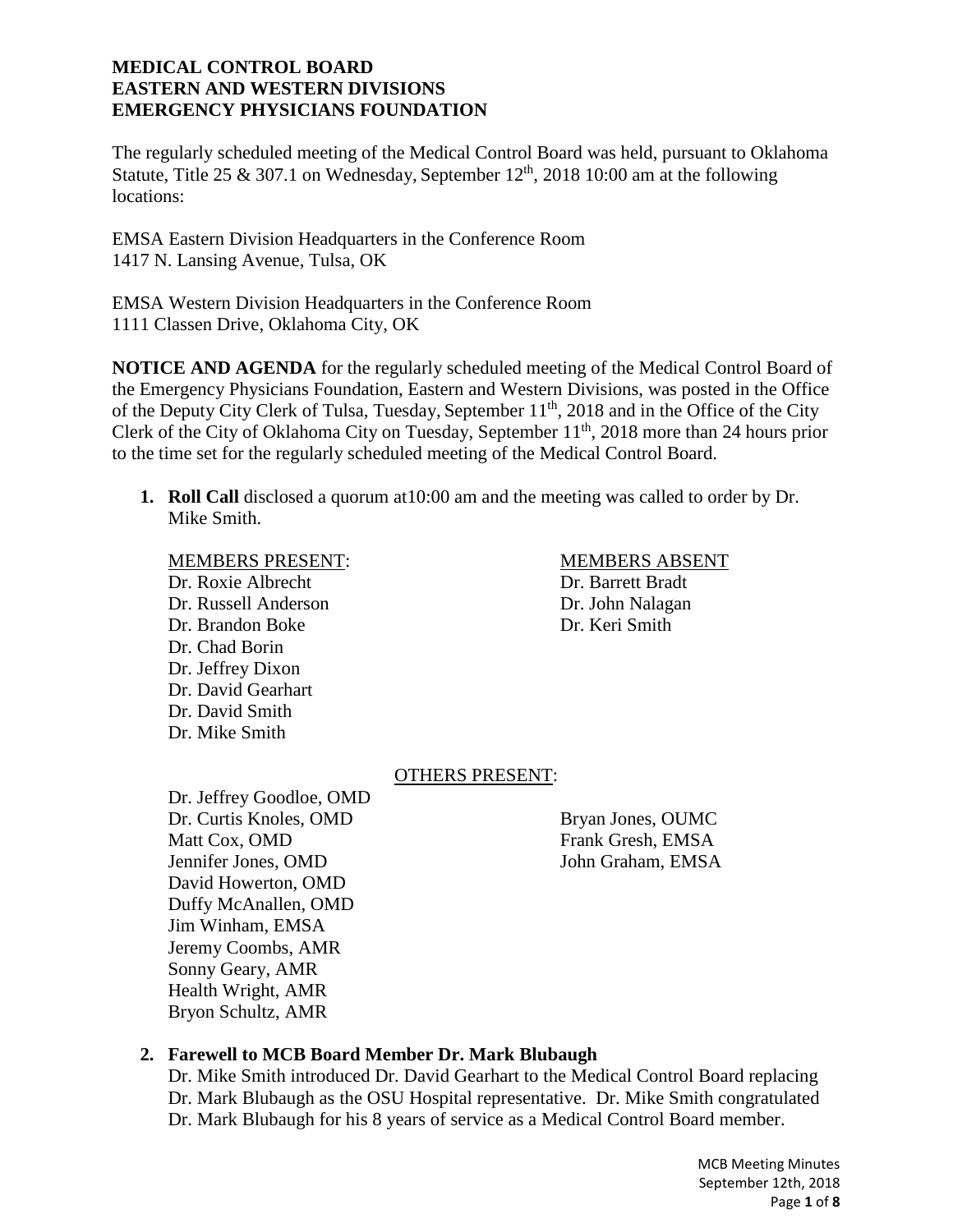The regularly scheduled meeting of the Medical Control Board was held, pursuant to Oklahoma Statute, Title 25 & 307.1 on Wednesday, September  $12<sup>th</sup>$ , 2018 10:00 am at the following locations:

EMSA Eastern Division Headquarters in the Conference Room 1417 N. Lansing Avenue, Tulsa, OK

EMSA Western Division Headquarters in the Conference Room 1111 Classen Drive, Oklahoma City, OK

**NOTICE AND AGENDA** for the regularly scheduled meeting of the Medical Control Board of the Emergency Physicians Foundation, Eastern and Western Divisions, was posted in the Office of the Deputy City Clerk of Tulsa, Tuesday, September 11<sup>th</sup>, 2018 and in the Office of the City Clerk of the City of Oklahoma City on Tuesday, September 11<sup>th</sup>, 2018 more than 24 hours prior to the time set for the regularly scheduled meeting of the Medical Control Board.

**1. Roll Call** disclosed a quorum at10:00 am and the meeting was called to order by Dr. Mike Smith.

Dr. Roxie Albrecht Dr. Barrett Bradt Dr. Russell Anderson Dr. John Nalagan Dr. Brandon Boke Dr. Keri Smith Dr. Chad Borin Dr. Jeffrey Dixon Dr. David Gearhart Dr. David Smith Dr. Mike Smith

### MEMBERS PRESENT: MEMBERS ABSENT

### OTHERS PRESENT:

Dr. Jeffrey Goodloe, OMD Dr. Curtis Knoles, OMD Bryan Jones, OUMC Matt Cox, OMD Frank Gresh, EMSA Jennifer Jones, OMD John Graham, EMSA David Howerton, OMD Duffy McAnallen, OMD Jim Winham, EMSA Jeremy Coombs, AMR Sonny Geary, AMR Health Wright, AMR Bryon Schultz, AMR

# **2. Farewell to MCB Board Member Dr. Mark Blubaugh**

Dr. Mike Smith introduced Dr. David Gearhart to the Medical Control Board replacing Dr. Mark Blubaugh as the OSU Hospital representative. Dr. Mike Smith congratulated Dr. Mark Blubaugh for his 8 years of service as a Medical Control Board member.

> MCB Meeting Minutes September 12th, 2018 Page **1** of **8**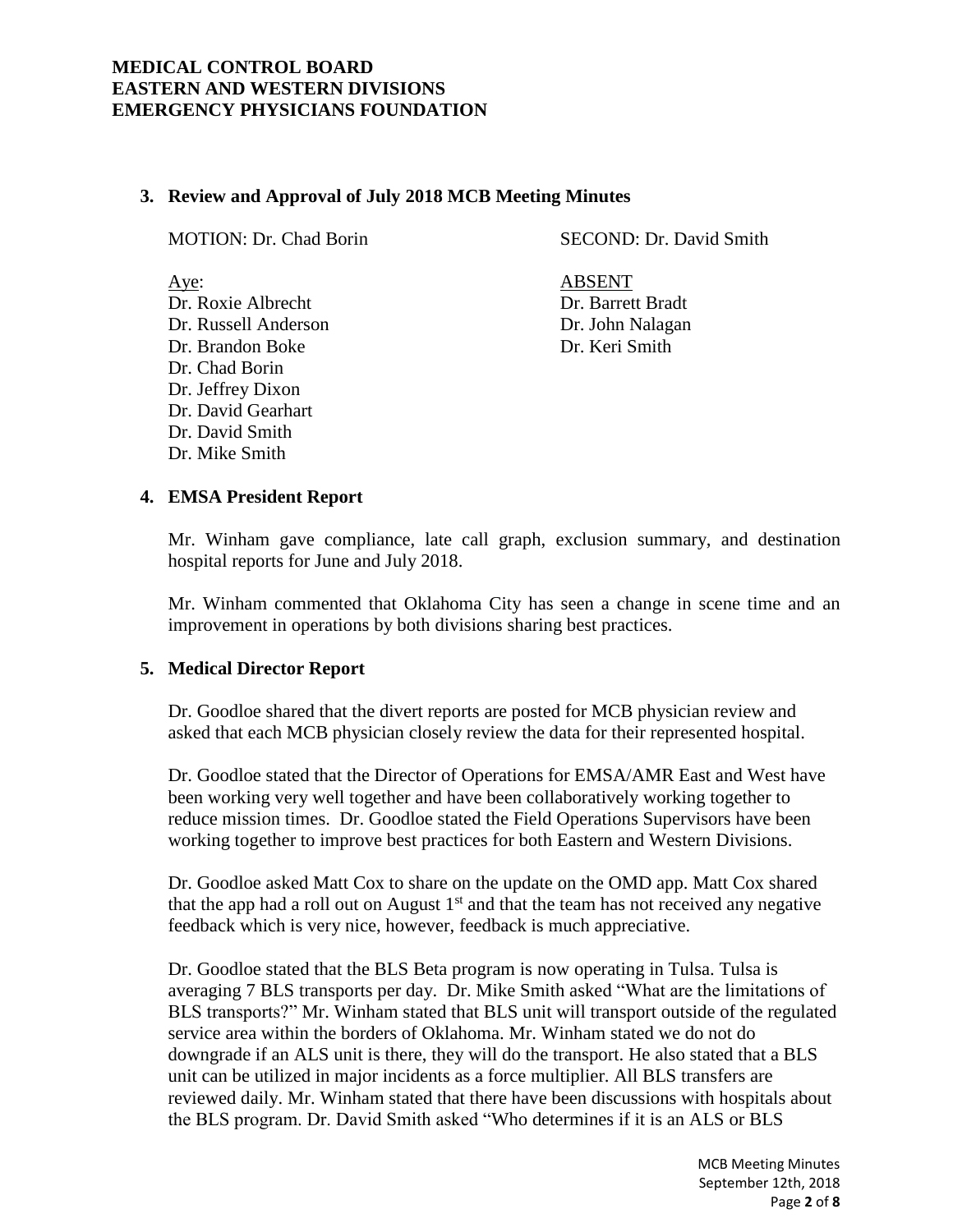### **3. Review and Approval of July 2018 MCB Meeting Minutes**

Aye: ABSENT Dr. Roxie Albrecht Dr. Barrett Bradt Dr. Russell Anderson Dr. John Nalagan Dr. Brandon Boke Dr. Keri Smith Dr. Chad Borin Dr. Jeffrey Dixon Dr. David Gearhart Dr. David Smith

MOTION: Dr. Chad Borin SECOND: Dr. David Smith

# **4. EMSA President Report**

Dr. Mike Smith

Mr. Winham gave compliance, late call graph, exclusion summary, and destination hospital reports for June and July 2018.

Mr. Winham commented that Oklahoma City has seen a change in scene time and an improvement in operations by both divisions sharing best practices.

### **5. Medical Director Report**

Dr. Goodloe shared that the divert reports are posted for MCB physician review and asked that each MCB physician closely review the data for their represented hospital.

Dr. Goodloe stated that the Director of Operations for EMSA/AMR East and West have been working very well together and have been collaboratively working together to reduce mission times. Dr. Goodloe stated the Field Operations Supervisors have been working together to improve best practices for both Eastern and Western Divisions.

Dr. Goodloe asked Matt Cox to share on the update on the OMD app. Matt Cox shared that the app had a roll out on August  $1<sup>st</sup>$  and that the team has not received any negative feedback which is very nice, however, feedback is much appreciative.

Dr. Goodloe stated that the BLS Beta program is now operating in Tulsa. Tulsa is averaging 7 BLS transports per day. Dr. Mike Smith asked "What are the limitations of BLS transports?" Mr. Winham stated that BLS unit will transport outside of the regulated service area within the borders of Oklahoma. Mr. Winham stated we do not do downgrade if an ALS unit is there, they will do the transport. He also stated that a BLS unit can be utilized in major incidents as a force multiplier. All BLS transfers are reviewed daily. Mr. Winham stated that there have been discussions with hospitals about the BLS program. Dr. David Smith asked "Who determines if it is an ALS or BLS

> MCB Meeting Minutes September 12th, 2018 Page **2** of **8**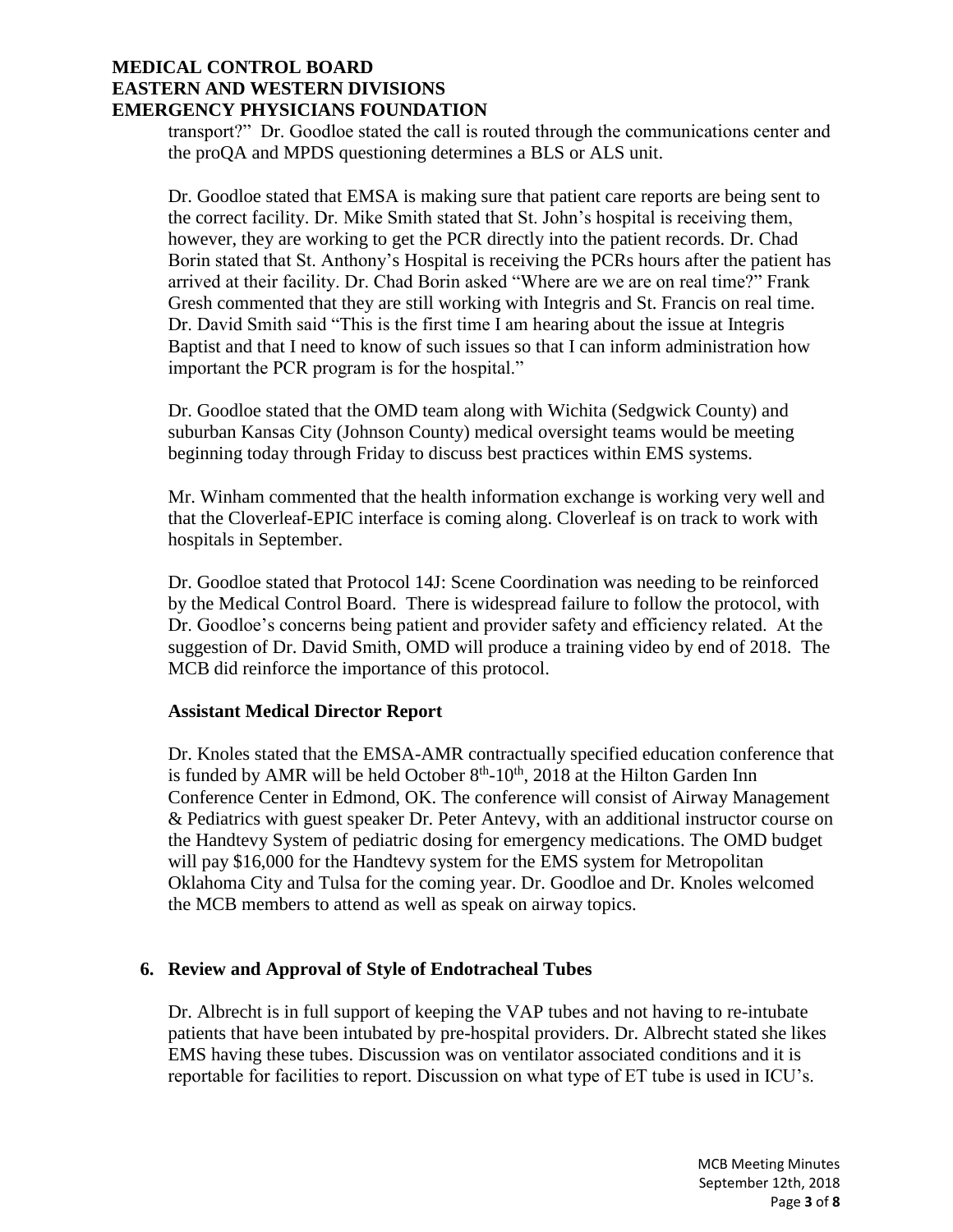transport?" Dr. Goodloe stated the call is routed through the communications center and the proQA and MPDS questioning determines a BLS or ALS unit.

Dr. Goodloe stated that EMSA is making sure that patient care reports are being sent to the correct facility. Dr. Mike Smith stated that St. John's hospital is receiving them, however, they are working to get the PCR directly into the patient records. Dr. Chad Borin stated that St. Anthony's Hospital is receiving the PCRs hours after the patient has arrived at their facility. Dr. Chad Borin asked "Where are we are on real time?" Frank Gresh commented that they are still working with Integris and St. Francis on real time. Dr. David Smith said "This is the first time I am hearing about the issue at Integris Baptist and that I need to know of such issues so that I can inform administration how important the PCR program is for the hospital."

Dr. Goodloe stated that the OMD team along with Wichita (Sedgwick County) and suburban Kansas City (Johnson County) medical oversight teams would be meeting beginning today through Friday to discuss best practices within EMS systems.

Mr. Winham commented that the health information exchange is working very well and that the Cloverleaf-EPIC interface is coming along. Cloverleaf is on track to work with hospitals in September.

Dr. Goodloe stated that Protocol 14J: Scene Coordination was needing to be reinforced by the Medical Control Board. There is widespread failure to follow the protocol, with Dr. Goodloe's concerns being patient and provider safety and efficiency related. At the suggestion of Dr. David Smith, OMD will produce a training video by end of 2018. The MCB did reinforce the importance of this protocol.

### **Assistant Medical Director Report**

Dr. Knoles stated that the EMSA-AMR contractually specified education conference that is funded by AMR will be held October  $8<sup>th</sup>$ -10<sup>th</sup>, 2018 at the Hilton Garden Inn Conference Center in Edmond, OK. The conference will consist of Airway Management & Pediatrics with guest speaker Dr. Peter Antevy, with an additional instructor course on the Handtevy System of pediatric dosing for emergency medications. The OMD budget will pay \$16,000 for the Handtevy system for the EMS system for Metropolitan Oklahoma City and Tulsa for the coming year. Dr. Goodloe and Dr. Knoles welcomed the MCB members to attend as well as speak on airway topics.

### **6. Review and Approval of Style of Endotracheal Tubes**

Dr. Albrecht is in full support of keeping the VAP tubes and not having to re-intubate patients that have been intubated by pre-hospital providers. Dr. Albrecht stated she likes EMS having these tubes. Discussion was on ventilator associated conditions and it is reportable for facilities to report. Discussion on what type of ET tube is used in ICU's.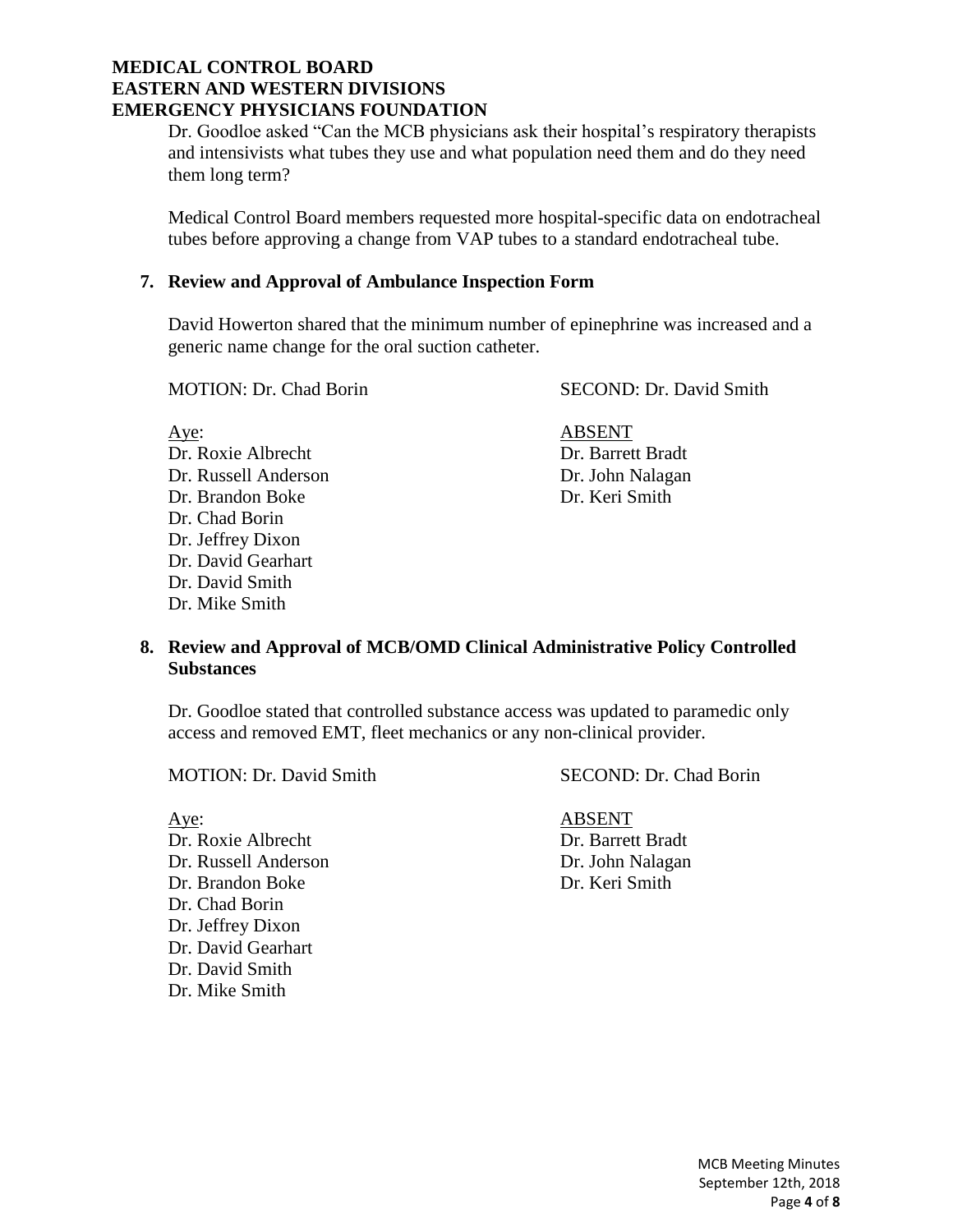Dr. Goodloe asked "Can the MCB physicians ask their hospital's respiratory therapists and intensivists what tubes they use and what population need them and do they need them long term?

Medical Control Board members requested more hospital-specific data on endotracheal tubes before approving a change from VAP tubes to a standard endotracheal tube.

### **7. Review and Approval of Ambulance Inspection Form**

David Howerton shared that the minimum number of epinephrine was increased and a generic name change for the oral suction catheter.

MOTION: Dr. Chad Borin SECOND: Dr. David Smith

Aye: ABSENT Dr. Roxie Albrecht Dr. Barrett Bradt Dr. Russell Anderson Dr. John Nalagan Dr. Brandon Boke Dr. Keri Smith Dr. Chad Borin Dr. Jeffrey Dixon Dr. David Gearhart Dr. David Smith Dr. Mike Smith

# **8. Review and Approval of MCB/OMD Clinical Administrative Policy Controlled Substances**

Dr. Goodloe stated that controlled substance access was updated to paramedic only access and removed EMT, fleet mechanics or any non-clinical provider.

MOTION: Dr. David Smith SECOND: Dr. Chad Borin

Aye: ABSENT Dr. Roxie Albrecht Dr. Barrett Bradt Dr. Russell Anderson Dr. John Nalagan Dr. Brandon Boke Dr. Keri Smith Dr. Chad Borin Dr. Jeffrey Dixon Dr. David Gearhart Dr. David Smith Dr. Mike Smith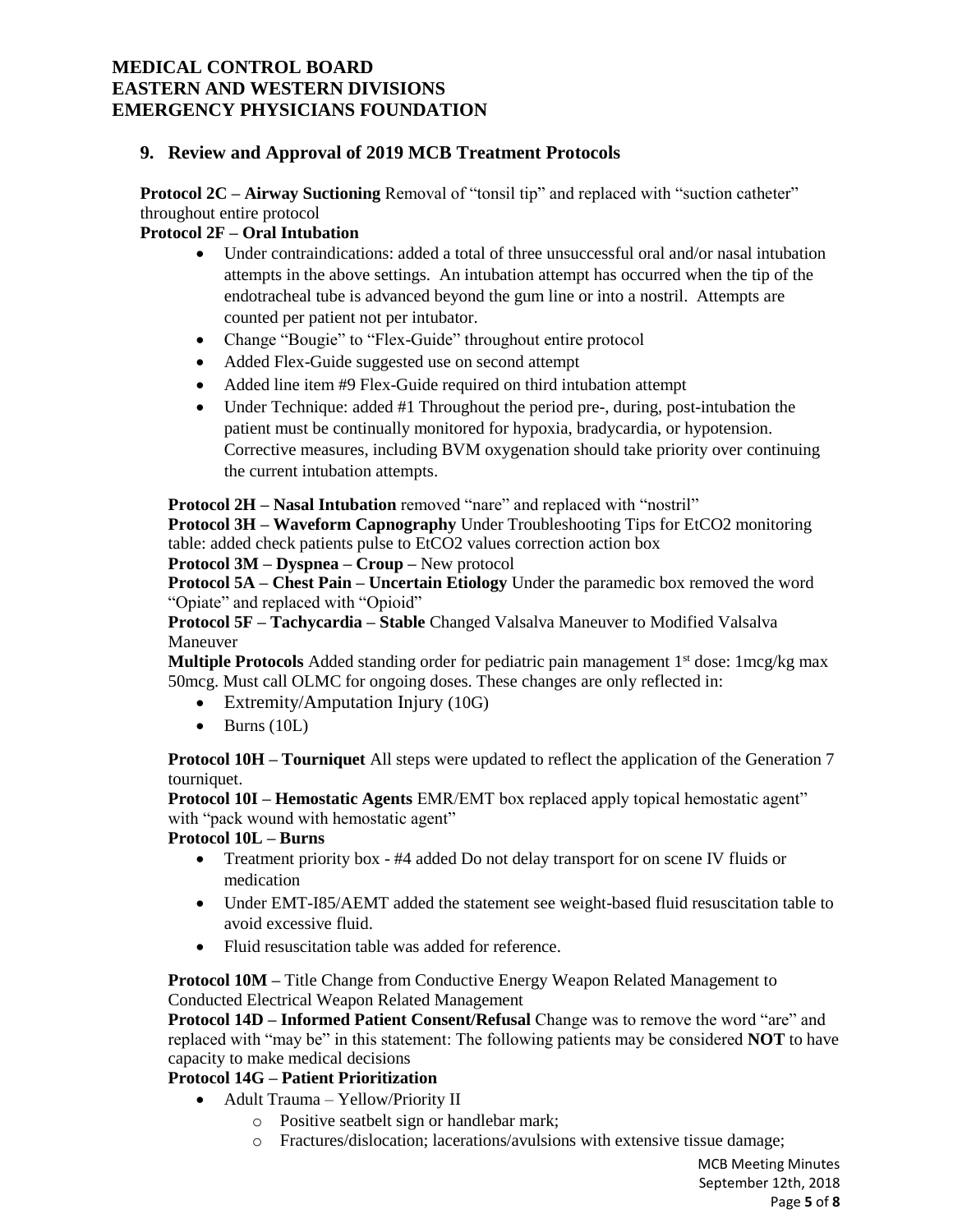# **9. Review and Approval of 2019 MCB Treatment Protocols**

**Protocol 2C – Airway Suctioning** Removal of "tonsil tip" and replaced with "suction catheter" throughout entire protocol

# **Protocol 2F – Oral Intubation**

- Under contraindications: added a total of three unsuccessful oral and/or nasal intubation attempts in the above settings. An intubation attempt has occurred when the tip of the endotracheal tube is advanced beyond the gum line or into a nostril. Attempts are counted per patient not per intubator.
- Change "Bougie" to "Flex-Guide" throughout entire protocol
- Added Flex-Guide suggested use on second attempt
- Added line item #9 Flex-Guide required on third intubation attempt
- Under Technique: added #1 Throughout the period pre-, during, post-intubation the patient must be continually monitored for hypoxia, bradycardia, or hypotension. Corrective measures, including BVM oxygenation should take priority over continuing the current intubation attempts.

**Protocol 2H – Nasal Intubation** removed "nare" and replaced with "nostril"

**Protocol 3H – Waveform Capnography** Under Troubleshooting Tips for EtCO2 monitoring table: added check patients pulse to EtCO2 values correction action box

**Protocol 3M – Dyspnea – Croup –** New protocol

**Protocol 5A – Chest Pain – Uncertain Etiology** Under the paramedic box removed the word "Opiate" and replaced with "Opioid"

**Protocol 5F – Tachycardia – Stable** Changed Valsalva Maneuver to Modified Valsalva Maneuver

**Multiple Protocols** Added standing order for pediatric pain management 1<sup>st</sup> dose: 1mcg/kg max 50mcg. Must call OLMC for ongoing doses. These changes are only reflected in:

- Extremity/Amputation Injury (10G)
- $\bullet$  Burns (10L)

**Protocol 10H – Tourniquet** All steps were updated to reflect the application of the Generation 7 tourniquet.

**Protocol 10I – Hemostatic Agents** EMR/EMT box replaced apply topical hemostatic agent" with "pack wound with hemostatic agent"

**Protocol 10L – Burns** 

- Treatment priority box #4 added Do not delay transport for on scene IV fluids or medication
- Under EMT-I85/AEMT added the statement see weight-based fluid resuscitation table to avoid excessive fluid.
- Fluid resuscitation table was added for reference.

**Protocol 10M –** Title Change from Conductive Energy Weapon Related Management to Conducted Electrical Weapon Related Management

**Protocol 14D – Informed Patient Consent/Refusal** Change was to remove the word "are" and replaced with "may be" in this statement: The following patients may be considered **NOT** to have capacity to make medical decisions

# **Protocol 14G – Patient Prioritization**

- Adult Trauma Yellow/Priority II
	- o Positive seatbelt sign or handlebar mark;
	- o Fractures/dislocation; lacerations/avulsions with extensive tissue damage;

MCB Meeting Minutes September 12th, 2018 Page **5** of **8**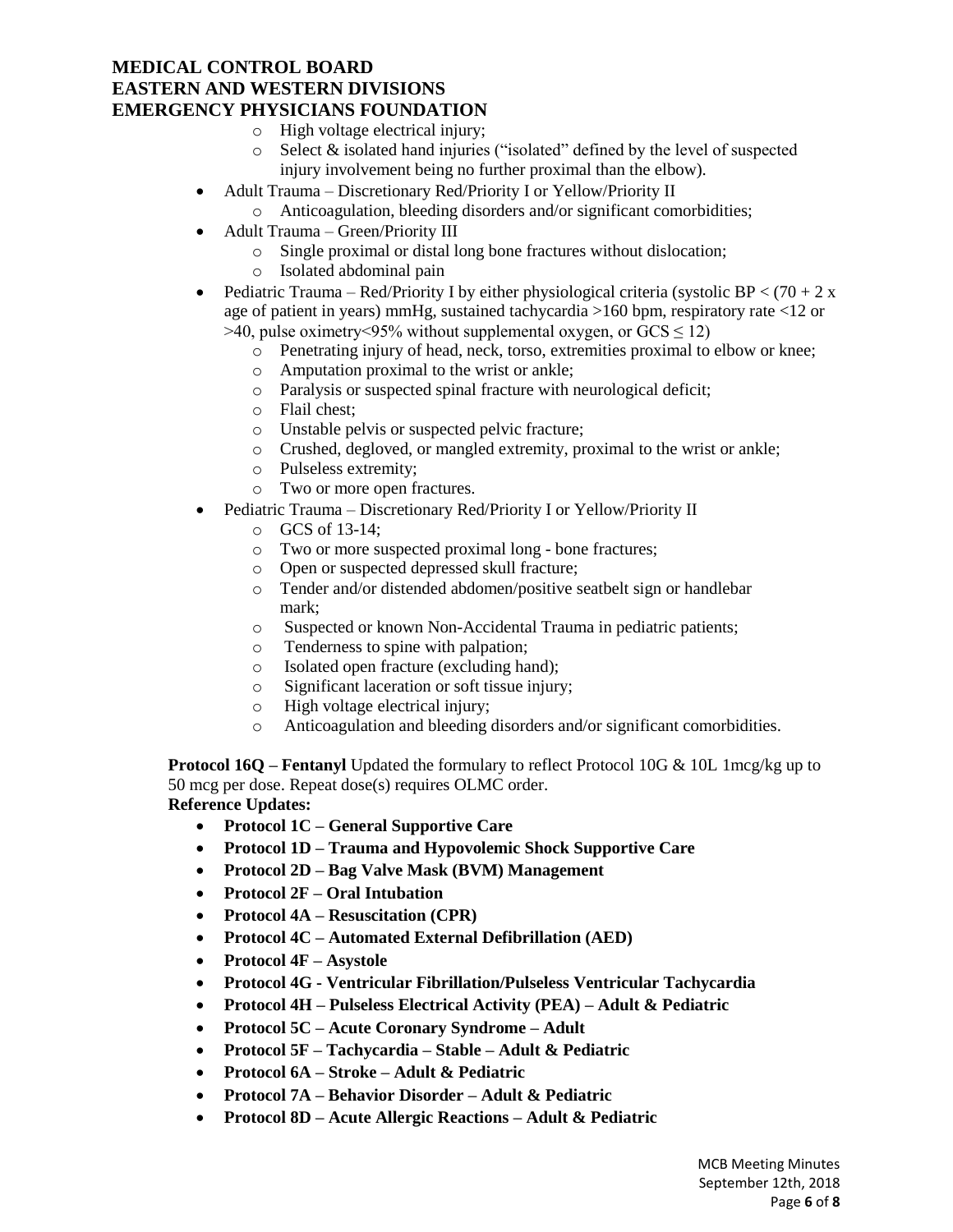- o High voltage electrical injury;
- o Select & isolated hand injuries ("isolated" defined by the level of suspected injury involvement being no further proximal than the elbow).
- Adult Trauma Discretionary Red/Priority I or Yellow/Priority II
	- o Anticoagulation, bleeding disorders and/or significant comorbidities;
- Adult Trauma Green/Priority III
	- o Single proximal or distal long bone fractures without dislocation;
	- o Isolated abdominal pain
- Pediatric Trauma Red/Priority I by either physiological criteria (systolic BP <  $(70 + 2 \text{ x})$ age of patient in years) mmHg, sustained tachycardia >160 bpm, respiratory rate <12 or  $>40$ , pulse oximetry <95% without supplemental oxygen, or GCS  $\leq$  12)
	- o Penetrating injury of head, neck, torso, extremities proximal to elbow or knee;
	- o Amputation proximal to the wrist or ankle;
	- o Paralysis or suspected spinal fracture with neurological deficit;
	- o Flail chest;
	- o Unstable pelvis or suspected pelvic fracture;
	- o Crushed, degloved, or mangled extremity, proximal to the wrist or ankle;
	- o Pulseless extremity;
	- o Two or more open fractures.
- Pediatric Trauma Discretionary Red/Priority I or Yellow/Priority II
	- o GCS of 13-14;
	- o Two or more suspected proximal long bone fractures;
	- o Open or suspected depressed skull fracture;
	- o Tender and/or distended abdomen/positive seatbelt sign or handlebar mark;
	- o Suspected or known Non-Accidental Trauma in pediatric patients;
	- o Tenderness to spine with palpation;
	- o Isolated open fracture (excluding hand);
	- o Significant laceration or soft tissue injury;
	- o High voltage electrical injury;
	- o Anticoagulation and bleeding disorders and/or significant comorbidities.

**Protocol 16Q – Fentanyl** Updated the formulary to reflect Protocol 10G & 10L 1mcg/kg up to 50 mcg per dose. Repeat dose(s) requires OLMC order. **Reference Updates:**

- **Protocol 1C – General Supportive Care**
- **Protocol 1D – Trauma and Hypovolemic Shock Supportive Care**
- **Protocol 2D – Bag Valve Mask (BVM) Management**
- **Protocol 2F – Oral Intubation**
- **Protocol 4A – Resuscitation (CPR)**
- **Protocol 4C – Automated External Defibrillation (AED)**
- **Protocol 4F – Asystole**
- **Protocol 4G - Ventricular Fibrillation/Pulseless Ventricular Tachycardia**
- **Protocol 4H – Pulseless Electrical Activity (PEA) – Adult & Pediatric**
- **Protocol 5C – Acute Coronary Syndrome – Adult**
- **Protocol 5F – Tachycardia – Stable – Adult & Pediatric**
- **Protocol 6A – Stroke – Adult & Pediatric**
- **Protocol 7A – Behavior Disorder – Adult & Pediatric**
- **Protocol 8D – Acute Allergic Reactions – Adult & Pediatric**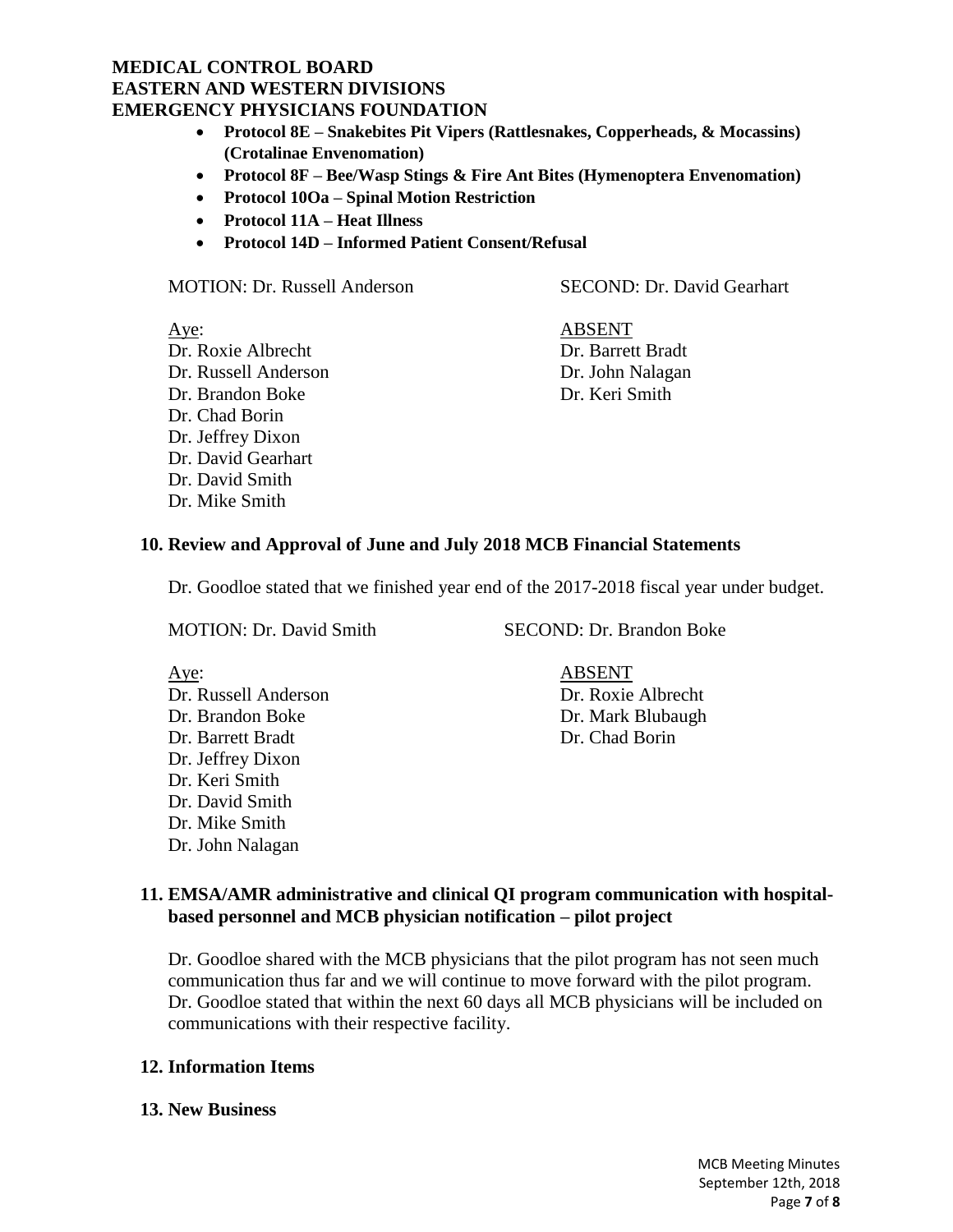- **Protocol 8E – Snakebites Pit Vipers (Rattlesnakes, Copperheads, & Mocassins) (Crotalinae Envenomation)**
- **Protocol 8F – Bee/Wasp Stings & Fire Ant Bites (Hymenoptera Envenomation)**
- **Protocol 10Oa – Spinal Motion Restriction**
- **Protocol 11A – Heat Illness**
- **Protocol 14D – Informed Patient Consent/Refusal**

#### MOTION: Dr. Russell Anderson SECOND: Dr. David Gearhart

Aye: ABSENT Dr. Roxie Albrecht Dr. Barrett Bradt Dr. Russell Anderson Dr. John Nalagan Dr. Brandon Boke Dr. Keri Smith Dr. Chad Borin Dr. Jeffrey Dixon Dr. David Gearhart Dr. David Smith Dr. Mike Smith

### **10. Review and Approval of June and July 2018 MCB Financial Statements**

Dr. Goodloe stated that we finished year end of the 2017-2018 fiscal year under budget.

MOTION: Dr. David Smith SECOND: Dr. Brandon Boke

| Aye:                 | <b>ABSENT</b>      |
|----------------------|--------------------|
| Dr. Russell Anderson | Dr. Roxie Albrecht |
| Dr. Brandon Boke     | Dr. Mark Blubaugh  |
| Dr. Barrett Bradt    | Dr. Chad Borin     |
| Dr. Jeffrey Dixon    |                    |
| Dr. Keri Smith       |                    |
| Dr. David Smith      |                    |
| Dr. Mike Smith       |                    |

# **11. EMSA/AMR administrative and clinical QI program communication with hospitalbased personnel and MCB physician notification – pilot project**

Dr. Goodloe shared with the MCB physicians that the pilot program has not seen much communication thus far and we will continue to move forward with the pilot program. Dr. Goodloe stated that within the next 60 days all MCB physicians will be included on communications with their respective facility.

### **12. Information Items**

Dr. John Nalagan

#### **13. New Business**